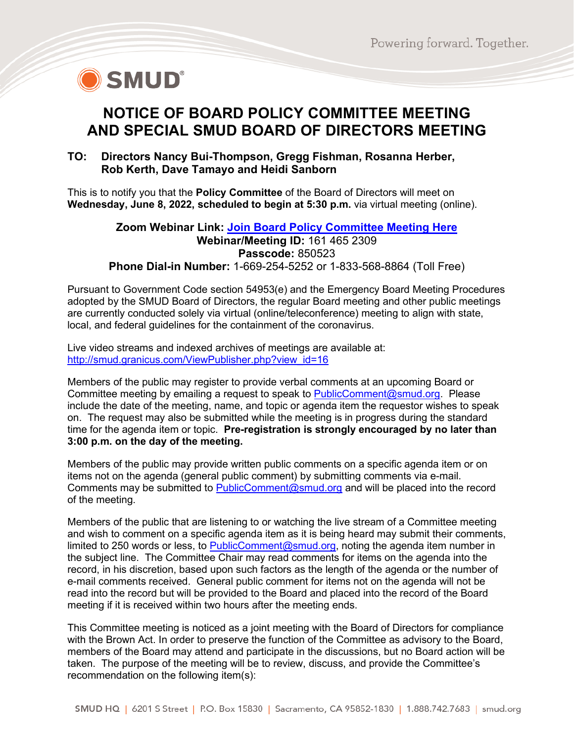

# **NOTICE OF BOARD POLICY COMMITTEE MEETING AND SPECIAL SMUD BOARD OF DIRECTORS MEETING**

### **TO: Directors Nancy Bui-Thompson, Gregg Fishman, Rosanna Herber, Rob Kerth, Dave Tamayo and Heidi Sanborn**

This is to notify you that the **Policy Committee** of the Board of Directors will meet on **Wednesday, June 8, 2022, scheduled to begin at 5:30 p.m.** via virtual meeting (online).

#### **Zoom Webinar Link: [Join Board Policy Committee Meeting Here](https://smud.zoomgov.com/j/1614652309?pwd=THZkTnprTXErV3g3WnJ5QXREbisrZz09) Webinar/Meeting ID:** 161 465 2309 **Passcode:** 850523 **Phone Dial-in Number:** 1-669-254-5252 or 1-833-568-8864 (Toll Free)

Pursuant to Government Code section 54953(e) and the Emergency Board Meeting Procedures adopted by the SMUD Board of Directors, the regular Board meeting and other public meetings are currently conducted solely via virtual (online/teleconference) meeting to align with state, local, and federal guidelines for the containment of the coronavirus.

Live video streams and indexed archives of meetings are available at: [http://smud.granicus.com/ViewPublisher.php?view\\_id=16](http://smud.granicus.com/ViewPublisher.php?view_id=16)

Members of the public may register to provide verbal comments at an upcoming Board or Committee meeting by emailing a request to speak to [PublicComment@smud.org.](mailto:PublicComment@smud.org) Please include the date of the meeting, name, and topic or agenda item the requestor wishes to speak on. The request may also be submitted while the meeting is in progress during the standard time for the agenda item or topic. **Pre-registration is strongly encouraged by no later than 3:00 p.m. on the day of the meeting.**

Members of the public may provide written public comments on a specific agenda item or on items not on the agenda (general public comment) by submitting comments via e-mail. Comments may be submitted to [PublicComment@smud.org](mailto:PublicComment@smud.org) and will be placed into the record of the meeting.

Members of the public that are listening to or watching the live stream of a Committee meeting and wish to comment on a specific agenda item as it is being heard may submit their comments, limited to 250 words or less, to [PublicComment@smud.org,](mailto:PublicComment@smud.org) noting the agenda item number in the subject line. The Committee Chair may read comments for items on the agenda into the record, in his discretion, based upon such factors as the length of the agenda or the number of e-mail comments received. General public comment for items not on the agenda will not be read into the record but will be provided to the Board and placed into the record of the Board meeting if it is received within two hours after the meeting ends.

This Committee meeting is noticed as a joint meeting with the Board of Directors for compliance with the Brown Act. In order to preserve the function of the Committee as advisory to the Board, members of the Board may attend and participate in the discussions, but no Board action will be taken. The purpose of the meeting will be to review, discuss, and provide the Committee's recommendation on the following item(s):